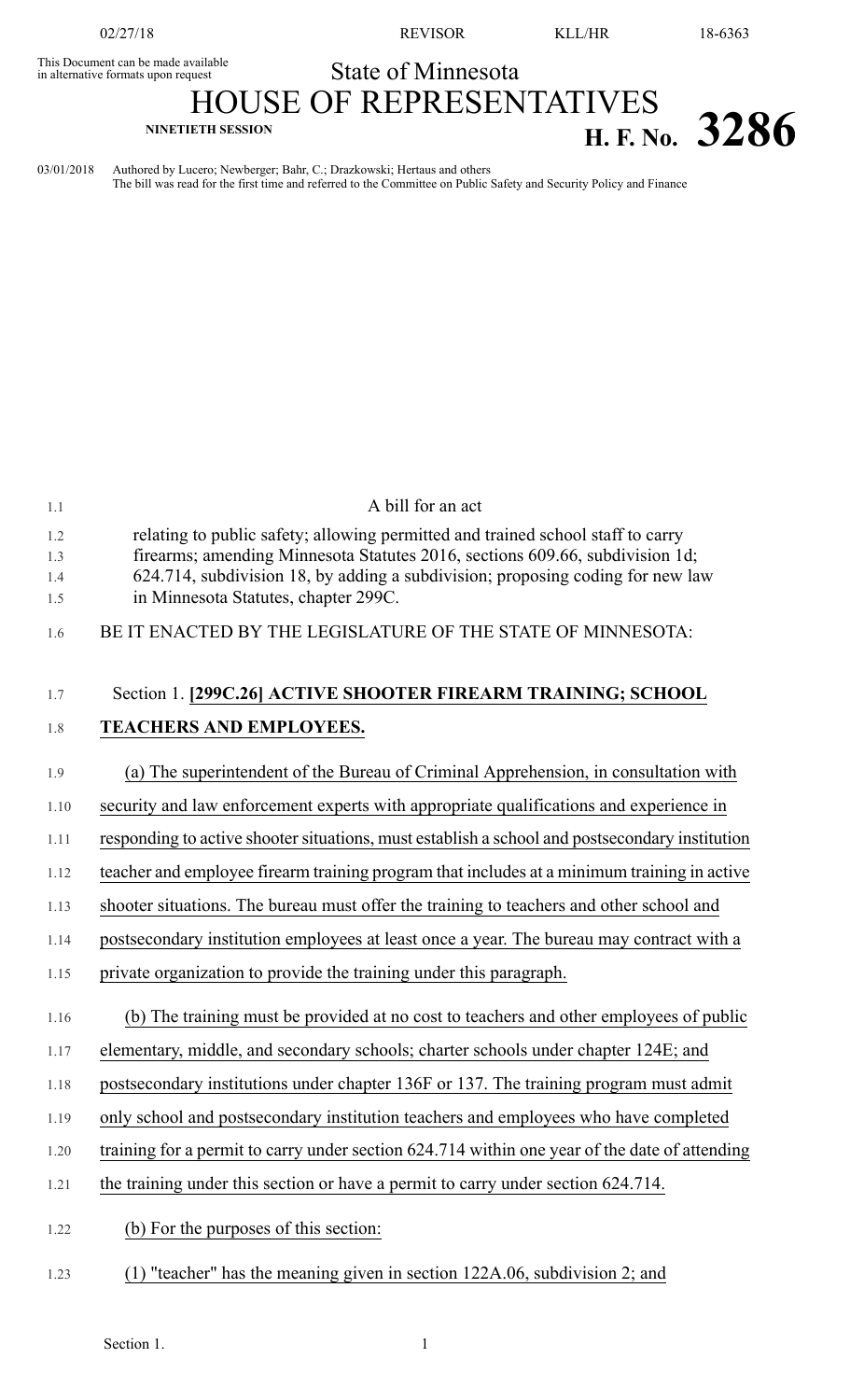This Document can be made available<br>in alternative formats upon request

02/27/18 REVISOR KLL/HR 18-6363

## State of Minnesota

**NINETIETH SESSION H. F. No. 3286**

## HOUSE OF REPRESENTATIVES

03/01/2018 Authored by Lucero; Newberger; Bahr, C.; Drazkowski; Hertaus and others The bill was read for the first time and referred to the Committee on Public Safety and Security Policy and Finance

| 1.1  | A bill for an act                                                                                                      |
|------|------------------------------------------------------------------------------------------------------------------------|
| 1.2  | relating to public safety; allowing permitted and trained school staff to carry                                        |
| 1.3  | firearms; amending Minnesota Statutes 2016, sections 609.66, subdivision 1d;                                           |
| 1.4  | 624.714, subdivision 18, by adding a subdivision; proposing coding for new law<br>in Minnesota Statutes, chapter 299C. |
| 1.5  |                                                                                                                        |
| 1.6  | BE IT ENACTED BY THE LEGISLATURE OF THE STATE OF MINNESOTA:                                                            |
|      |                                                                                                                        |
| 1.7  | Section 1. [299C.26] ACTIVE SHOOTER FIREARM TRAINING; SCHOOL                                                           |
| 1.8  | TEACHERS AND EMPLOYEES.                                                                                                |
| 1.9  | (a) The superintendent of the Bureau of Criminal Apprehension, in consultation with                                    |
| 1.10 | security and law enforcement experts with appropriate qualifications and experience in                                 |
| 1.11 | responding to active shooter situations, must establish a school and postsecondary institution                         |
| 1.12 | teacher and employee firearm training program that includes at a minimum training in active                            |
| 1.13 | shooter situations. The bureau must offer the training to teachers and other school and                                |
| 1.14 | postsecondary institution employees at least once a year. The bureau may contract with a                               |
| 1.15 | private organization to provide the training under this paragraph.                                                     |
| 1.16 | (b) The training must be provided at no cost to teachers and other employees of public                                 |
| 1.17 | elementary, middle, and secondary schools; charter schools under chapter 124E; and                                     |
| 1.18 | postsecondary institutions under chapter 136F or 137. The training program must admit                                  |
| 1.19 | only school and postsecondary institution teachers and employees who have completed                                    |
| 1.20 | training for a permit to carry under section 624.714 within one year of the date of attending                          |
| 1.21 | the training under this section or have a permit to carry under section 624.714.                                       |
| 1.22 | (b) For the purposes of this section:                                                                                  |
| 1.23 | (1) "teacher" has the meaning given in section 122A.06, subdivision 2; and                                             |
|      |                                                                                                                        |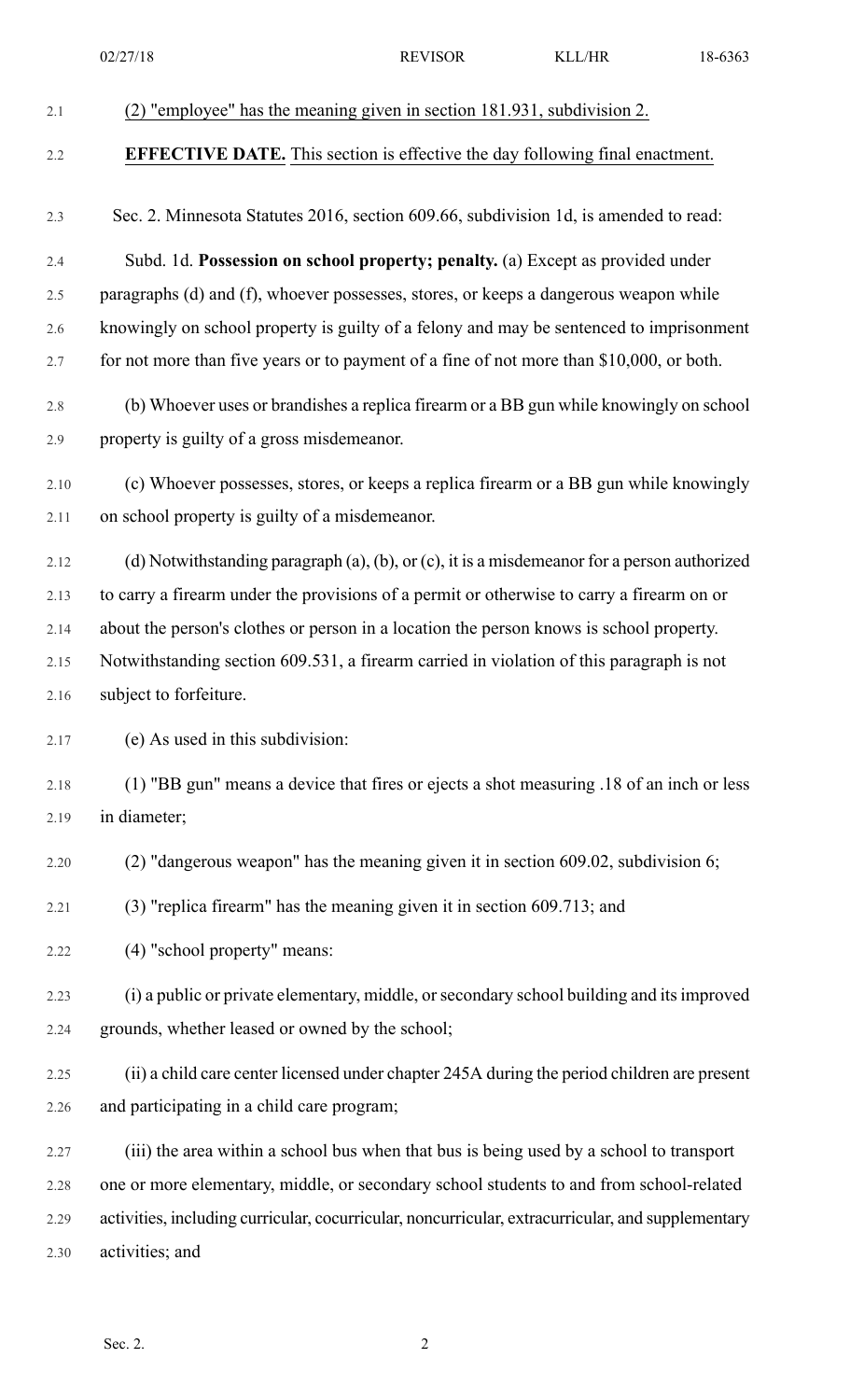|      | 02/27/18                                                                                          | <b>REVISOR</b> | <b>KLL/HR</b> | 18-6363 |
|------|---------------------------------------------------------------------------------------------------|----------------|---------------|---------|
| 2.1  | (2) "employee" has the meaning given in section 181.931, subdivision 2.                           |                |               |         |
| 2.2  | <b>EFFECTIVE DATE.</b> This section is effective the day following final enactment.               |                |               |         |
| 2.3  | Sec. 2. Minnesota Statutes 2016, section 609.66, subdivision 1d, is amended to read:              |                |               |         |
| 2.4  | Subd. 1d. Possession on school property; penalty. (a) Except as provided under                    |                |               |         |
| 2.5  | paragraphs (d) and (f), whoever possesses, stores, or keeps a dangerous weapon while              |                |               |         |
| 2.6  | knowingly on school property is guilty of a felony and may be sentenced to imprisonment           |                |               |         |
| 2.7  | for not more than five years or to payment of a fine of not more than \$10,000, or both.          |                |               |         |
| 2.8  | (b) Whoever uses or brandishes a replica firearm or a BB gun while knowingly on school            |                |               |         |
| 2.9  | property is guilty of a gross misdemeanor.                                                        |                |               |         |
| 2.10 | (c) Whoever possesses, stores, or keeps a replica firearm or a BB gun while knowingly             |                |               |         |
| 2.11 | on school property is guilty of a misdemeanor.                                                    |                |               |         |
| 2.12 | (d) Notwithstanding paragraph (a), (b), or (c), it is a misdemeanor for a person authorized       |                |               |         |
| 2.13 | to carry a firearm under the provisions of a permit or otherwise to carry a firearm on or         |                |               |         |
| 2.14 | about the person's clothes or person in a location the person knows is school property.           |                |               |         |
| 2.15 | Notwithstanding section 609.531, a firearm carried in violation of this paragraph is not          |                |               |         |
| 2.16 | subject to forfeiture.                                                                            |                |               |         |
| 2.17 | (e) As used in this subdivision:                                                                  |                |               |         |
| 2.18 | (1) "BB gun" means a device that fires or ejects a shot measuring .18 of an inch or less          |                |               |         |
| 2.19 | in diameter;                                                                                      |                |               |         |
| 2.20 | $(2)$ "dangerous weapon" has the meaning given it in section 609.02, subdivision 6;               |                |               |         |
| 2.21 | (3) "replica firearm" has the meaning given it in section 609.713; and                            |                |               |         |
| 2.22 | (4) "school property" means:                                                                      |                |               |         |
| 2.23 | (i) a public or private elementary, middle, or secondary school building and its improved         |                |               |         |
| 2.24 | grounds, whether leased or owned by the school;                                                   |                |               |         |
| 2.25 | (ii) a child care center licensed under chapter 245A during the period children are present       |                |               |         |
| 2.26 | and participating in a child care program;                                                        |                |               |         |
| 2.27 | (iii) the area within a school bus when that bus is being used by a school to transport           |                |               |         |
| 2.28 | one or more elementary, middle, or secondary school students to and from school-related           |                |               |         |
| 2.29 | activities, including curricular, cocurricular, noncurricular, extracurricular, and supplementary |                |               |         |
| 2.30 | activities; and                                                                                   |                |               |         |
|      |                                                                                                   |                |               |         |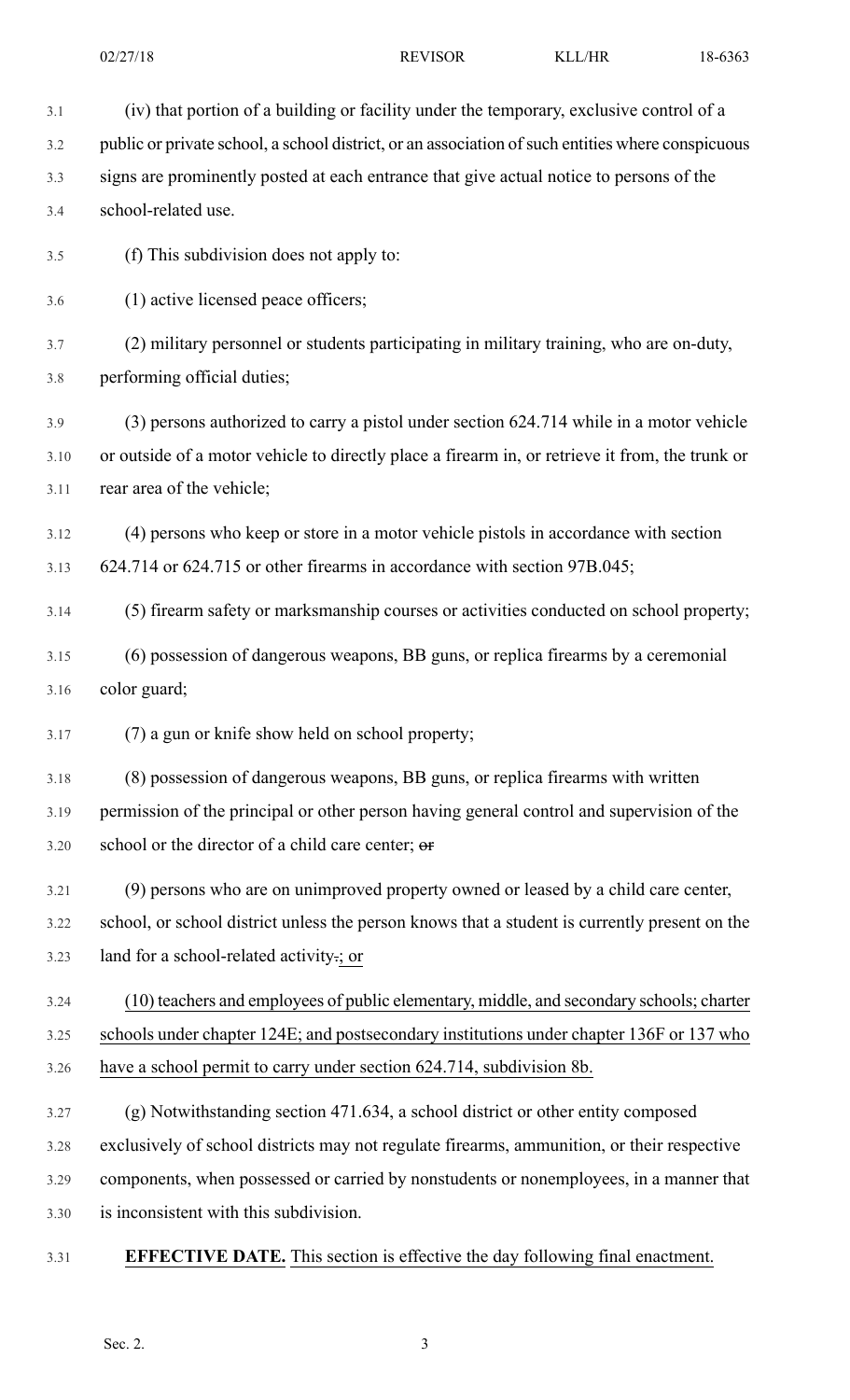3.1 (iv) that portion of a building or facility under the temporary, exclusive control of a 3.2 public or private school, a school district, or an association of such entities where conspicuous 3.3 signs are prominently posted at each entrance that give actual notice to persons of the 3.4 school-related use. 3.5 (f) This subdivision does not apply to: 3.6 (1) active licensed peace officers; 3.7 (2) military personnel or students participating in military training, who are on-duty, 3.8 performing official duties; 3.9 (3) persons authorized to carry a pistol under section 624.714 while in a motor vehicle 3.10 or outside of a motor vehicle to directly place a firearm in, or retrieve it from, the trunk or 3.11 rear area of the vehicle; 3.12 (4) persons who keep or store in a motor vehicle pistols in accordance with section 3.13 624.714 or 624.715 or other firearms in accordance with section 97B.045; 3.14 (5) firearm safety or marksmanship courses or activities conducted on school property; 3.15 (6) possession of dangerous weapons, BB guns, or replica firearms by a ceremonial 3.16 color guard; 3.17 (7) a gun or knife show held on school property; 3.18 (8) possession of dangerous weapons, BB guns, or replica firearms with written 3.19 permission of the principal or other person having general control and supervision of the 3.20 school or the director of a child care center; or 3.21 (9) persons who are on unimproved property owned or leased by a child care center, 3.22 school, or school district unless the person knows that a student is currently present on the 3.23 land for a school-related activity.; or 3.24 (10) teachers and employees of public elementary, middle, and secondary schools; charter 3.25 schools under chapter 124E; and postsecondary institutions under chapter 136F or 137 who 3.26 have a school permit to carry under section 624.714, subdivision 8b. 3.27 (g) Notwithstanding section 471.634, a school district or other entity composed 3.28 exclusively of school districts may not regulate firearms, ammunition, or their respective 3.29 components, when possessed or carried by nonstudents or nonemployees, in a manner that 3.30 is inconsistent with this subdivision. 3.31 **EFFECTIVE DATE.** This section is effective the day following final enactment.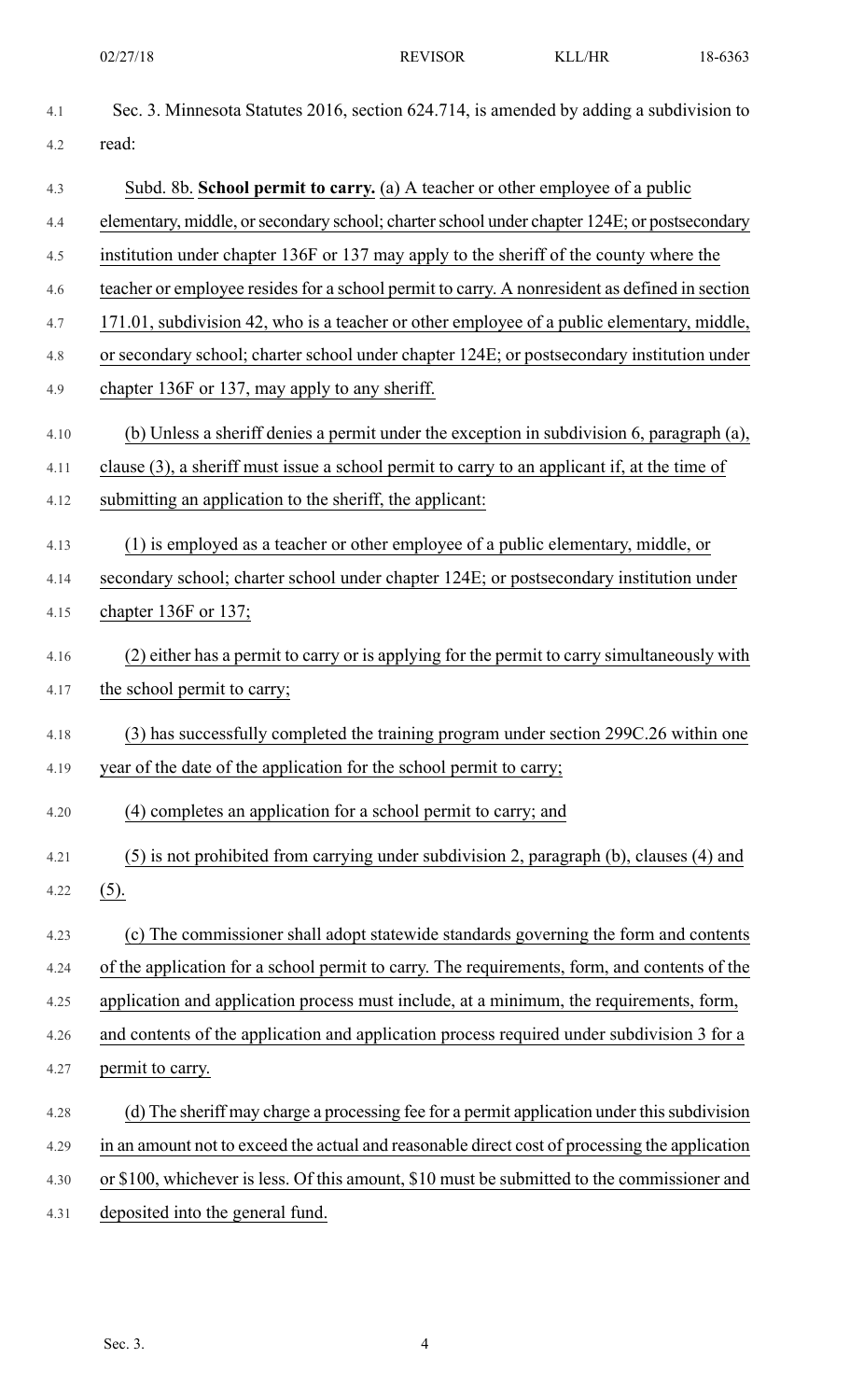| 4.1  | Sec. 3. Minnesota Statutes 2016, section 624.714, is amended by adding a subdivision to        |
|------|------------------------------------------------------------------------------------------------|
| 4.2  | read:                                                                                          |
| 4.3  | Subd. 8b. School permit to carry. (a) A teacher or other employee of a public                  |
| 4.4  | elementary, middle, or secondary school; charter school under chapter 124E; or postsecondary   |
| 4.5  | institution under chapter 136F or 137 may apply to the sheriff of the county where the         |
| 4.6  | teacher or employee resides for a school permit to carry. A nonresident as defined in section  |
| 4.7  | 171.01, subdivision 42, who is a teacher or other employee of a public elementary, middle,     |
| 4.8  | or secondary school; charter school under chapter 124E; or postsecondary institution under     |
| 4.9  | chapter 136F or 137, may apply to any sheriff.                                                 |
| 4.10 | (b) Unless a sheriff denies a permit under the exception in subdivision 6, paragraph (a),      |
| 4.11 | clause (3), a sheriff must issue a school permit to carry to an applicant if, at the time of   |
| 4.12 | submitting an application to the sheriff, the applicant:                                       |
| 4.13 | (1) is employed as a teacher or other employee of a public elementary, middle, or              |
| 4.14 | secondary school; charter school under chapter 124E; or postsecondary institution under        |
| 4.15 | chapter 136F or 137;                                                                           |
| 4.16 | (2) either has a permit to carry or is applying for the permit to carry simultaneously with    |
| 4.17 | the school permit to carry;                                                                    |
| 4.18 | (3) has successfully completed the training program under section 299C.26 within one           |
| 4.19 | year of the date of the application for the school permit to carry;                            |
| 4.20 | (4) completes an application for a school permit to carry; and                                 |
| 4.21 | (5) is not prohibited from carrying under subdivision 2, paragraph (b), clauses (4) and        |
| 4.22 | $(5)$ .                                                                                        |
| 4.23 | (c) The commissioner shall adopt statewide standards governing the form and contents           |
| 4.24 | of the application for a school permit to carry. The requirements, form, and contents of the   |
| 4.25 | application and application process must include, at a minimum, the requirements, form,        |
| 4.26 | and contents of the application and application process required under subdivision 3 for a     |
| 4.27 | permit to carry.                                                                               |
| 4.28 | (d) The sheriff may charge a processing fee for a permit application under this subdivision    |
| 4.29 | in an amount not to exceed the actual and reasonable direct cost of processing the application |
| 4.30 | or \$100, whichever is less. Of this amount, \$10 must be submitted to the commissioner and    |
| 4.31 | deposited into the general fund.                                                               |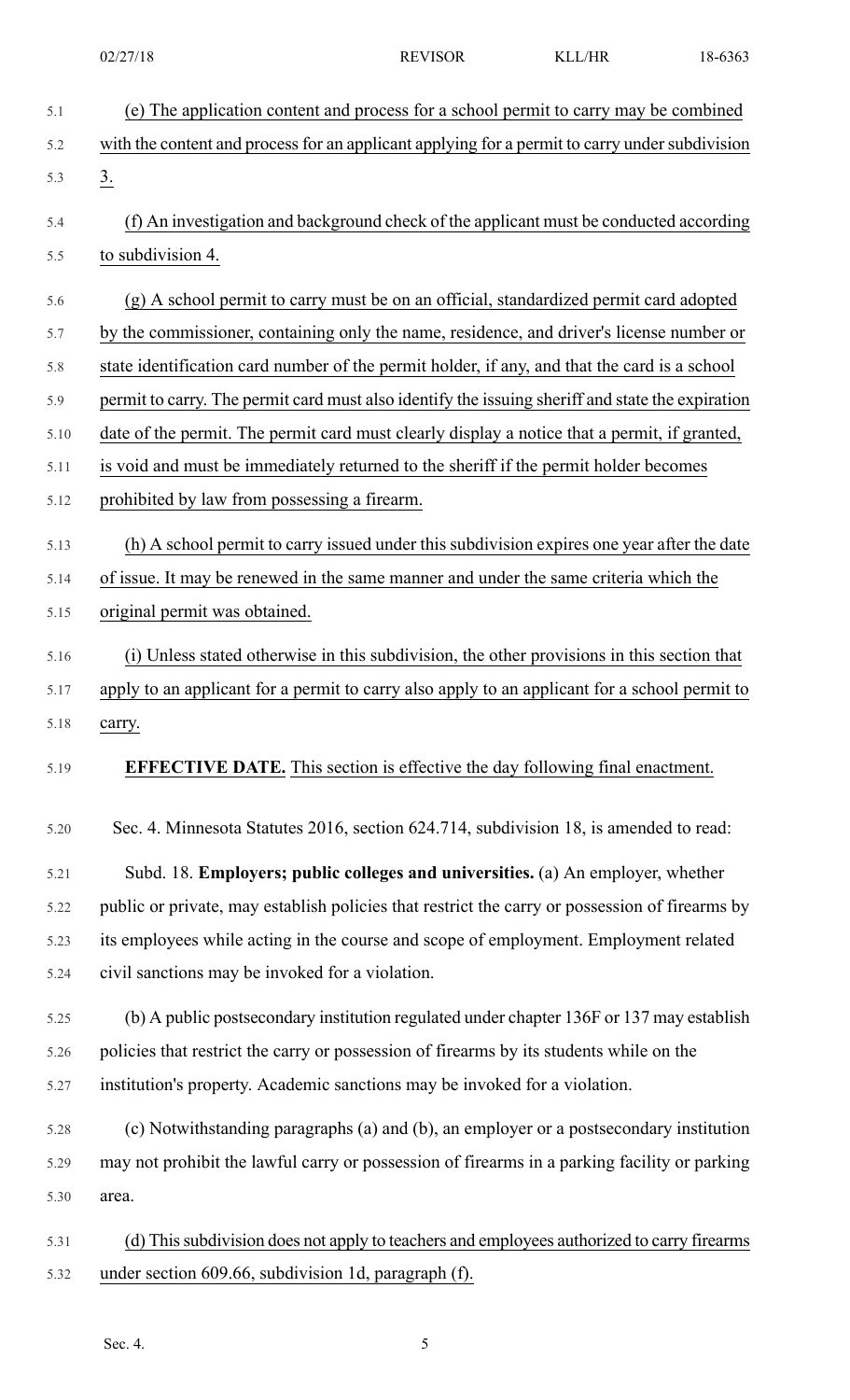| 5.1  | (e) The application content and process for a school permit to carry may be combined             |
|------|--------------------------------------------------------------------------------------------------|
| 5.2  | with the content and process for an applicant applying for a permit to carry under subdivision   |
| 5.3  | $\underline{3}$ .                                                                                |
| 5.4  | (f) An investigation and background check of the applicant must be conducted according           |
| 5.5  | to subdivision 4.                                                                                |
| 5.6  | (g) A school permit to carry must be on an official, standardized permit card adopted            |
| 5.7  | by the commissioner, containing only the name, residence, and driver's license number or         |
| 5.8  | state identification card number of the permit holder, if any, and that the card is a school     |
| 5.9  | permit to carry. The permit card must also identify the issuing sheriff and state the expiration |
| 5.10 | date of the permit. The permit card must clearly display a notice that a permit, if granted,     |
| 5.11 | is void and must be immediately returned to the sheriff if the permit holder becomes             |
| 5.12 | prohibited by law from possessing a firearm.                                                     |
| 5.13 | (h) A school permit to carry issued under this subdivision expires one year after the date       |
| 5.14 | of issue. It may be renewed in the same manner and under the same criteria which the             |
| 5.15 | original permit was obtained.                                                                    |
| 5.16 | (i) Unless stated otherwise in this subdivision, the other provisions in this section that       |
| 5.17 | apply to an applicant for a permit to carry also apply to an applicant for a school permit to    |
| 5.18 | carry.                                                                                           |
|      |                                                                                                  |
| 5.19 | <b>EFFECTIVE DATE.</b> This section is effective the day following final enactment.              |
| 5.20 | Sec. 4. Minnesota Statutes 2016, section 624.714, subdivision 18, is amended to read:            |
| 5.21 | Subd. 18. Employers; public colleges and universities. (a) An employer, whether                  |
| 5.22 | public or private, may establish policies that restrict the carry or possession of firearms by   |
| 5.23 | its employees while acting in the course and scope of employment. Employment related             |
| 5.24 | civil sanctions may be invoked for a violation.                                                  |
| 5.25 | (b) A public postsecondary institution regulated under chapter 136F or 137 may establish         |
| 5.26 | policies that restrict the carry or possession of firearms by its students while on the          |
| 5.27 | institution's property. Academic sanctions may be invoked for a violation.                       |
| 5.28 | (c) Notwithstanding paragraphs (a) and (b), an employer or a postsecondary institution           |
| 5.29 | may not prohibit the lawful carry or possession of firearms in a parking facility or parking     |
| 5.30 | area.                                                                                            |
|      |                                                                                                  |
| 5.31 | (d) This subdivision does not apply to teachers and employees authorized to carry firearms       |
| 5.32 | under section 609.66, subdivision 1d, paragraph (f).                                             |